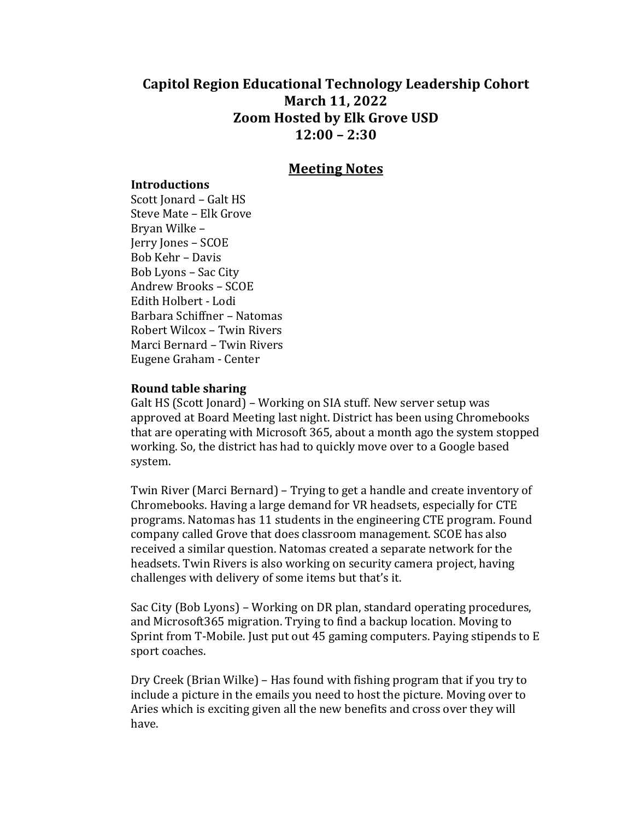# **Capitol Region Educational Technology Leadership Cohort March 11, 2022 Zoom Hosted by Elk Grove USD 12:00 – 2:30**

## **Meeting Notes**

#### **Introductions**

Scott Jonard - Galt HS Steve Mate - Elk Grove Bryan Wilke -Jerry Jones - SCOE Bob Kehr – Davis Bob Lyons - Sac City Andrew Brooks – SCOE Edith Holbert - Lodi Barbara Schiffner – Natomas Robert Wilcox - Twin Rivers Marci Bernard - Twin Rivers Eugene Graham - Center

#### **Round table sharing**

Galt HS (Scott Jonard) – Working on SIA stuff. New server setup was approved at Board Meeting last night. District has been using Chromebooks that are operating with Microsoft 365, about a month ago the system stopped working. So, the district has had to quickly move over to a Google based system. 

Twin River (Marci Bernard) – Trying to get a handle and create inventory of Chromebooks. Having a large demand for VR headsets, especially for CTE programs. Natomas has 11 students in the engineering CTE program. Found company called Grove that does classroom management. SCOE has also received a similar question. Natomas created a separate network for the headsets. Twin Rivers is also working on security camera project, having challenges with delivery of some items but that's it.

Sac City (Bob Lyons) – Working on DR plan, standard operating procedures, and Microsoft365 migration. Trying to find a backup location. Moving to Sprint from T-Mobile. Just put out 45 gaming computers. Paying stipends to  $E$ sport coaches.

Dry Creek (Brian Wilke) – Has found with fishing program that if you try to include a picture in the emails you need to host the picture. Moving over to Aries which is exciting given all the new benefits and cross over they will have.